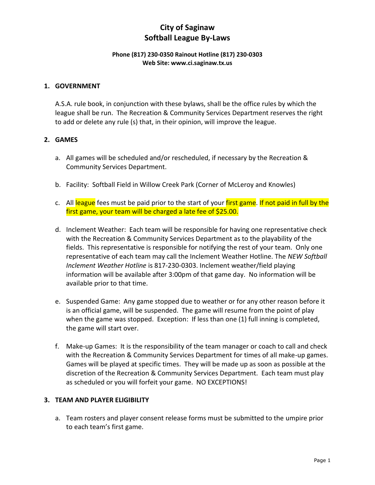#### **Phone (817) 230-0350 Rainout Hotline (817) 230-0303 Web Site: www.ci.saginaw.tx.us**

### **1. GOVERNMENT**

A.S.A. rule book, in conjunction with these bylaws, shall be the office rules by which the league shall be run. The Recreation & Community Services Department reserves the right to add or delete any rule (s) that, in their opinion, will improve the league.

### **2. GAMES**

- a. All games will be scheduled and/or rescheduled, if necessary by the Recreation & Community Services Department.
- b. Facility: Softball Field in Willow Creek Park (Corner of McLeroy and Knowles)
- c. All league fees must be paid prior to the start of your first game. If not paid in full by the first game, your team will be charged a late fee of \$25.00.
- d. Inclement Weather: Each team will be responsible for having one representative check with the Recreation & Community Services Department as to the playability of the fields. This representative is responsible for notifying the rest of your team. Only one representative of each team may call the Inclement Weather Hotline. The *NEW Softball Inclement Weather Hotline* is 817-230-0303. Inclement weather/field playing information will be available after 3:00pm of that game day. No information will be available prior to that time.
- e. Suspended Game: Any game stopped due to weather or for any other reason before it is an official game, will be suspended. The game will resume from the point of play when the game was stopped. Exception: If less than one (1) full inning is completed, the game will start over.
- f. Make-up Games: It is the responsibility of the team manager or coach to call and check with the Recreation & Community Services Department for times of all make-up games. Games will be played at specific times. They will be made up as soon as possible at the discretion of the Recreation & Community Services Department. Each team must play as scheduled or you will forfeit your game. NO EXCEPTIONS!

### **3. TEAM AND PLAYER ELIGIBILITY**

a. Team rosters and player consent release forms must be submitted to the umpire prior to each team's first game.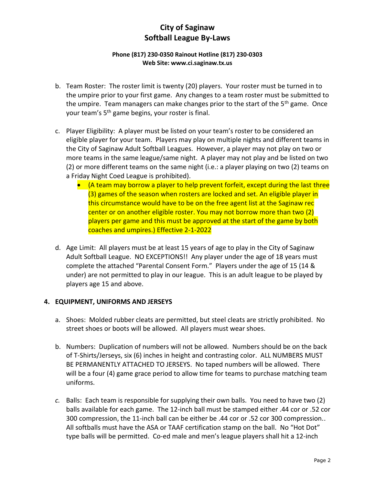### **Phone (817) 230-0350 Rainout Hotline (817) 230-0303 Web Site: www.ci.saginaw.tx.us**

- b. Team Roster: The roster limit is twenty (20) players. Your roster must be turned in to the umpire prior to your first game. Any changes to a team roster must be submitted to the umpire. Team managers can make changes prior to the start of the 5<sup>th</sup> game. Once your team's 5th game begins, your roster is final.
- c. Player Eligibility: A player must be listed on your team's roster to be considered an eligible player for your team. Players may play on multiple nights and different teams in the City of Saginaw Adult Softball Leagues. However, a player may not play on two or more teams in the same league/same night. A player may not play and be listed on two (2) or more different teams on the same night (i.e.: a player playing on two (2) teams on a Friday Night Coed League is prohibited).
	- (A team may borrow a player to help prevent forfeit, except during the last three (3) games of the season when rosters are locked and set. An eligible player in this circumstance would have to be on the free agent list at the Saginaw rec center or on another eligible roster. You may not borrow more than two (2) players per game and this must be approved at the start of the game by both coaches and umpires.) Effective 2-1-2022
- d. Age Limit: All players must be at least 15 years of age to play in the City of Saginaw Adult Softball League. NO EXCEPTIONS!! Any player under the age of 18 years must complete the attached "Parental Consent Form." Players under the age of 15 (14 & under) are not permitted to play in our league. This is an adult league to be played by players age 15 and above.

### **4. EQUIPMENT, UNIFORMS AND JERSEYS**

- a. Shoes: Molded rubber cleats are permitted, but steel cleats are strictly prohibited. No street shoes or boots will be allowed. All players must wear shoes.
- b. Numbers: Duplication of numbers will not be allowed. Numbers should be on the back of T-Shirts/Jerseys, six (6) inches in height and contrasting color. ALL NUMBERS MUST BE PERMANENTLY ATTACHED TO JERSEYS. No taped numbers will be allowed. There will be a four (4) game grace period to allow time for teams to purchase matching team uniforms.
- *c.* Balls: Each team is responsible for supplying their own balls. You need to have two (2) balls available for each game. The 12-inch ball must be stamped either .44 cor or .52 cor 300 compression, the 11-inch ball can be either be .44 cor or .52 cor 300 compression.. All softballs must have the ASA or TAAF certification stamp on the ball. No "Hot Dot" type balls will be permitted. Co-ed male and men's league players shall hit a 12-inch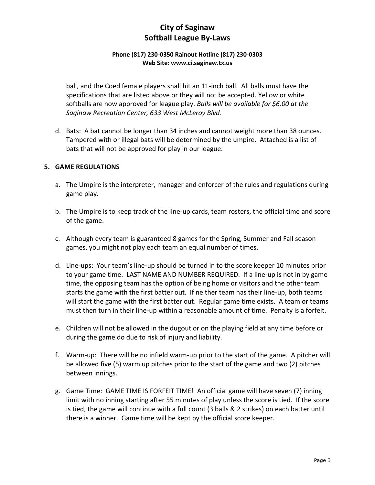### **Phone (817) 230-0350 Rainout Hotline (817) 230-0303 Web Site: www.ci.saginaw.tx.us**

ball, and the Coed female players shall hit an 11-inch ball. All balls must have the specifications that are listed above or they will not be accepted. Yellow or white softballs are now approved for league play. *Balls will be available for \$6.00 at the Saginaw Recreation Center, 633 West McLeroy Blvd.*

d. Bats: A bat cannot be longer than 34 inches and cannot weight more than 38 ounces. Tampered with or illegal bats will be determined by the umpire. Attached is a list of bats that will not be approved for play in our league.

### **5. GAME REGULATIONS**

- a. The Umpire is the interpreter, manager and enforcer of the rules and regulations during game play.
- b. The Umpire is to keep track of the line-up cards, team rosters, the official time and score of the game.
- c. Although every team is guaranteed 8 games for the Spring, Summer and Fall season games, you might not play each team an equal number of times.
- d. Line-ups: Your team's line-up should be turned in to the score keeper 10 minutes prior to your game time. LAST NAME AND NUMBER REQUIRED. If a line-up is not in by game time, the opposing team has the option of being home or visitors and the other team starts the game with the first batter out. If neither team has their line-up, both teams will start the game with the first batter out. Regular game time exists. A team or teams must then turn in their line-up within a reasonable amount of time. Penalty is a forfeit.
- e. Children will not be allowed in the dugout or on the playing field at any time before or during the game do due to risk of injury and liability.
- f. Warm-up: There will be no infield warm-up prior to the start of the game. A pitcher will be allowed five (5) warm up pitches prior to the start of the game and two (2) pitches between innings.
- g. Game Time: GAME TIME IS FORFEIT TIME! An official game will have seven (7) inning limit with no inning starting after 55 minutes of play unless the score is tied. If the score is tied, the game will continue with a full count (3 balls & 2 strikes) on each batter until there is a winner. Game time will be kept by the official score keeper.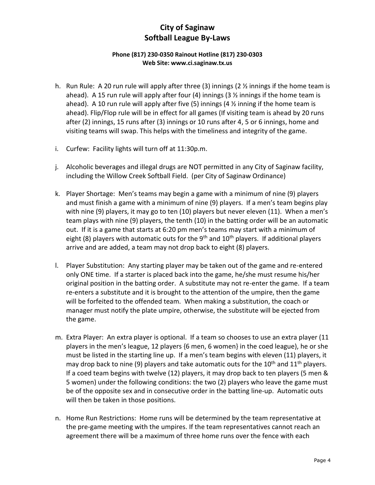### **Phone (817) 230-0350 Rainout Hotline (817) 230-0303 Web Site: www.ci.saginaw.tx.us**

- h. Run Rule: A 20 run rule will apply after three (3) innings (2 ½ innings if the home team is ahead). A 15 run rule will apply after four (4) innings (3  $\frac{1}{2}$  innings if the home team is ahead). A 10 run rule will apply after five (5) innings (4  $\frac{1}{2}$  inning if the home team is ahead). Flip/Flop rule will be in effect for all games (If visiting team is ahead by 20 runs after (2) innings, 15 runs after (3) innings or 10 runs after 4, 5 or 6 innings, home and visiting teams will swap. This helps with the timeliness and integrity of the game.
- i. Curfew: Facility lights will turn off at 11:30p.m.
- j. Alcoholic beverages and illegal drugs are NOT permitted in any City of Saginaw facility, including the Willow Creek Softball Field. (per City of Saginaw Ordinance)
- k. Player Shortage: Men's teams may begin a game with a minimum of nine (9) players and must finish a game with a minimum of nine (9) players. If a men's team begins play with nine (9) players, it may go to ten (10) players but never eleven (11). When a men's team plays with nine (9) players, the tenth (10) in the batting order will be an automatic out. If it is a game that starts at 6:20 pm men's teams may start with a minimum of eight (8) players with automatic outs for the  $9<sup>th</sup>$  and  $10<sup>th</sup>$  players. If additional players arrive and are added, a team may not drop back to eight (8) players.
- l. Player Substitution: Any starting player may be taken out of the game and re-entered only ONE time. If a starter is placed back into the game, he/she must resume his/her original position in the batting order. A substitute may not re-enter the game. If a team re-enters a substitute and it is brought to the attention of the umpire, then the game will be forfeited to the offended team. When making a substitution, the coach or manager must notify the plate umpire, otherwise, the substitute will be ejected from the game.
- m. Extra Player: An extra player is optional. If a team so chooses to use an extra player (11 players in the men's league, 12 players {6 men, 6 women} in the coed league), he or she must be listed in the starting line up. If a men's team begins with eleven (11) players, it may drop back to nine (9) players and take automatic outs for the  $10<sup>th</sup>$  and  $11<sup>th</sup>$  players. If a coed team begins with twelve (12) players, it may drop back to ten players (5 men & 5 women) under the following conditions: the two (2) players who leave the game must be of the opposite sex and in consecutive order in the batting line-up. Automatic outs will then be taken in those positions.
- n. Home Run Restrictions: Home runs will be determined by the team representative at the pre-game meeting with the umpires. If the team representatives cannot reach an agreement there will be a maximum of three home runs over the fence with each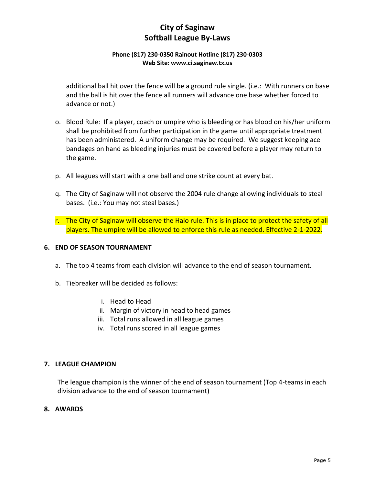### **Phone (817) 230-0350 Rainout Hotline (817) 230-0303 Web Site: www.ci.saginaw.tx.us**

additional ball hit over the fence will be a ground rule single. (i.e.: With runners on base and the ball is hit over the fence all runners will advance one base whether forced to advance or not.)

- o. Blood Rule: If a player, coach or umpire who is bleeding or has blood on his/her uniform shall be prohibited from further participation in the game until appropriate treatment has been administered. A uniform change may be required. We suggest keeping ace bandages on hand as bleeding injuries must be covered before a player may return to the game.
- p. All leagues will start with a one ball and one strike count at every bat.
- q. The City of Saginaw will not observe the 2004 rule change allowing individuals to steal bases. (i.e.: You may not steal bases.)
- r. The City of Saginaw will observe the Halo rule. This is in place to protect the safety of all players. The umpire will be allowed to enforce this rule as needed. Effective 2-1-2022.

### **6. END OF SEASON TOURNAMENT**

- a. The top 4 teams from each division will advance to the end of season tournament.
- b. Tiebreaker will be decided as follows:
	- i. Head to Head
	- ii. Margin of victory in head to head games
	- iii. Total runs allowed in all league games
	- iv. Total runs scored in all league games

#### **7. LEAGUE CHAMPION**

 The league champion is the winner of the end of season tournament (Top 4-teams in each division advance to the end of season tournament)

#### **8. AWARDS**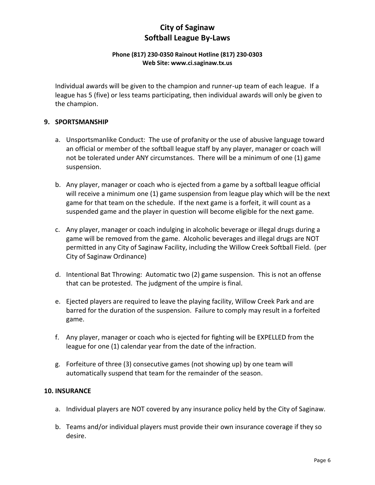### **Phone (817) 230-0350 Rainout Hotline (817) 230-0303 Web Site: www.ci.saginaw.tx.us**

Individual awards will be given to the champion and runner-up team of each league. If a league has 5 (five) or less teams participating, then individual awards will only be given to the champion.

### **9. SPORTSMANSHIP**

- a. Unsportsmanlike Conduct: The use of profanity or the use of abusive language toward an official or member of the softball league staff by any player, manager or coach will not be tolerated under ANY circumstances. There will be a minimum of one (1) game suspension.
- b. Any player, manager or coach who is ejected from a game by a softball league official will receive a minimum one (1) game suspension from league play which will be the next game for that team on the schedule. If the next game is a forfeit, it will count as a suspended game and the player in question will become eligible for the next game.
- c. Any player, manager or coach indulging in alcoholic beverage or illegal drugs during a game will be removed from the game. Alcoholic beverages and illegal drugs are NOT permitted in any City of Saginaw Facility, including the Willow Creek Softball Field. (per City of Saginaw Ordinance)
- d. Intentional Bat Throwing: Automatic two (2) game suspension. This is not an offense that can be protested. The judgment of the umpire is final.
- e. Ejected players are required to leave the playing facility, Willow Creek Park and are barred for the duration of the suspension. Failure to comply may result in a forfeited game.
- f. Any player, manager or coach who is ejected for fighting will be EXPELLED from the league for one (1) calendar year from the date of the infraction.
- g. Forfeiture of three (3) consecutive games (not showing up) by one team will automatically suspend that team for the remainder of the season.

### **10. INSURANCE**

- a. Individual players are NOT covered by any insurance policy held by the City of Saginaw.
- b. Teams and/or individual players must provide their own insurance coverage if they so desire.